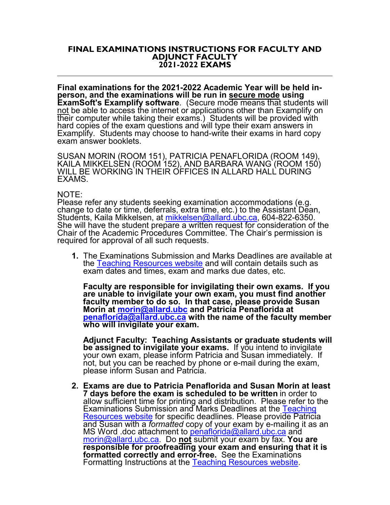## **FINAL EXAMINATIONS INSTRUCTIONS FOR FACULTY AND ADJUNCT FACULTY 2021-2022 EXAMS**

**Final examinations for the 2021-2022 Academic Year will be held in- person, and the examinations will be run in secure mode using ExamSoft's Examplify software**. (Secure mode means that students will not be able to access the internet or applications other than Examplify on their computer while taking their exams.) Students will be provided with hard copies of the exam questions and will type their exam answers in<br>Examplify. Students may choose to hand-write their exams in hard copy exam answer booklets.

SUSAN MORIN (ROOM 151), PATRICIA PENAFLORIDA (ROOM 149),<br>KAILA MIKKELSEN (ROOM 152), AND BARBARA WANG (ROOM 150)<br>WILL BE WORKING IN THEIR OFFICES IN ALLARD HALL DURING EXAMS.

## NOTE:

Please refer any students seeking examination accommodations (e.g. change to date or time, deferrals, extra time, etc.) to the Assistant Dean,<br>Students, Kaila Mikkelsen, at mikkelsen@allard.ubc.ca, 604-822-6350. She will have the student prepare a written request for consideration of the Chair of the Academic Procedures Committee. The Chair's permission is required for approval of all such requests.

**1.** The Examinations Submission and Marks Deadlines are available at the [Teaching Resources website](https://allard.ubc.ca/staff-faculty-portal/teaching-resources) and will contain details such as exam dates and times, exam and marks due dates, etc.

**Faculty are responsible for invigilating their own exams. If you are unable to invigilate your own exam, you must find another faculty member to do so. In that case, please provide Susan Morin at [morin@allard.ubc](mailto:morin@allard.ubc) and Patricia Penaflorida at [penaflorida@allard.ubc.ca](mailto:penaflorida@allard.ubc.ca) with the name of the faculty member who will invigilate your exam.** 

**Adjunct Faculty: Teaching Assistants or graduate students will be assigned to invigilate your exams.** If you intend to invigilate your own exam, please inform Patricia and Susan immediately. If not, but you can be reached by phone or e-mail during the exam, please inform Susan and Patricia.

**2. Exams are due to Patricia Penaflorida and Susan Morin at least 7 days before the exam is scheduled to be written** in order to allow sufficient time for printing and distribution. Please refer to the Examinations Submission and Marks Deadlines at the Teaching [Resources website](https://allard.ubc.ca/staff-faculty-portal/teaching-resources) for specific deadlines. Please provide Patricia and Susan with a *formatted* [copy of your exam by e-mail](mailto:penaflorida@allard.ubc.ca)ing it as an MS Word .doc attachment to penaflorida@allard.ubc.ca and [morin@allard.ubc.ca.](mailto:morin@allard.ubc.ca) Do **not** submit your exam by fax. **You are responsible for proofreading your exam and ensuring that it is formatted correctly and error-free.** See the Examinations Formatting Instructions at the [Teaching Resources website.](https://allard.ubc.ca/staff-faculty-portal/teaching-resources)